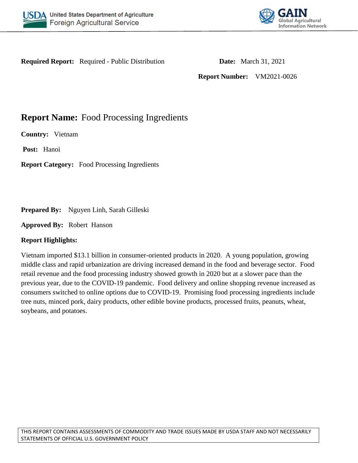



**Required Report:** Required - Public Distribution **Date:** March 31, 2021

**Report Number:** VM2021-0026

# **Report Name:** Food Processing Ingredients

**Country:** Vietnam

**Post:** Hanoi

**Report Category:** Food Processing Ingredients

**Prepared By:** Nguyen Linh, Sarah Gilleski

**Approved By:** Robert Hanson

## **Report Highlights:**

Vietnam imported \$13.1 billion in consumer-oriented products in 2020. A young population, growing middle class and rapid urbanization are driving increased demand in the food and beverage sector. Food retail revenue and the food processing industry showed growth in 2020 but at a slower pace than the previous year, due to the COVID-19 pandemic. Food delivery and online shopping revenue increased as consumers switched to online options due to COVID-19. Promising food processing ingredients include tree nuts, minced pork, dairy products, other edible bovine products, processed fruits, peanuts, wheat, soybeans, and potatoes.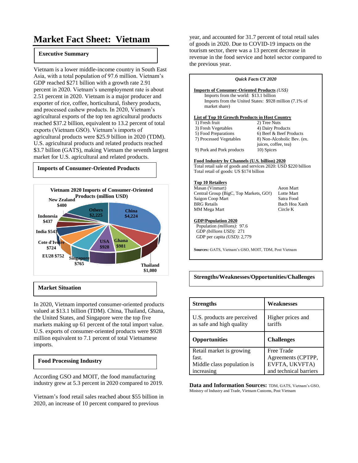# **Market Fact Sheet: Vietnam**

#### **Executive Summary**

Vietnam is a lower middle-income country in South East Asia, with a total population of 97.6 million. Vietnam's GDP reached \$271 billion with a growth rate 2.91 percent in 2020. Vietnam's unemployment rate is about 2.51 percent in 2020. Vietnam is a major producer and exporter of rice, coffee, horticultural, fishery products, and processed cashew products. In 2020, Vietnam's agricultural exports of the top ten agricultural products reached \$37.2 billion, equivalent to 13.2 percent of total exports (Vietnam GSO). Vietnam's imports of agricultural products were \$25.9 billion in 2020 (TDM). U.S. agricultural products and related products reached \$3.7 billion (GATS), making Vietnam the seventh largest market for U.S. agricultural and related products.



#### **Market Situation**

In 2020, Vietnam imported consumer-oriented products valued at \$13.1 billion (TDM). China, Thailand, Ghana, the United States, and Singapore were the top five markets making up 61 percent of the total import value. U.S. exports of consumer-oriented products were \$928 million equivalent to 7.1 percent of total Vietnamese imports.

#### **Food Processing Industry**

According GSO and MOIT, the food manufacturing industry grew at 5.3 percent in 2020 compared to 2019.

Vietnam's food retail sales reached about \$55 billion in 2020, an increase of 10 percent compared to previous

year, and accounted for 31.7 percent of total retail sales of goods in 2020. Due to COVID-19 impacts on the tourism sector, there was a 13 percent decrease in revenue in the food service and hotel sector compared to the previous year.

| <b>Ouick Facts CY 2020</b>                                                                                                                                               |                             |  |  |  |
|--------------------------------------------------------------------------------------------------------------------------------------------------------------------------|-----------------------------|--|--|--|
| <b>Imports of Consumer-Oriented Products (US\$)</b><br>Imports from the world: \$13.1 billion<br>Imports from the United States: \$928 million (7.1% of<br>market share) |                             |  |  |  |
| List of Top 10 Growth Products in Host Country                                                                                                                           |                             |  |  |  |
| 1) Fresh fruit                                                                                                                                                           | 2) Tree Nuts                |  |  |  |
| 3) Fresh Vegetables                                                                                                                                                      | 4) Dairy Products           |  |  |  |
| 5) Food Preparations                                                                                                                                                     | 6) Beef & Beef Products     |  |  |  |
| 7) Processed Vegetables                                                                                                                                                  | 8) Non-Alcoholic Bev. (ex.  |  |  |  |
|                                                                                                                                                                          | juices, coffee, tea)        |  |  |  |
| 9) Pork and Pork products                                                                                                                                                | 10) Spices                  |  |  |  |
| Food Industry by Channels (U.S. billion) 2020<br>Total retail sale of goods and services 2020: USD \$220 billion<br>Total retail of goods: US \$174 billion              |                             |  |  |  |
| <b>Top 10 Retailers</b>                                                                                                                                                  |                             |  |  |  |
| Masan (Vinmart)<br>Aeon Mart                                                                                                                                             |                             |  |  |  |
| Central Group (BigC, Top Markets, GO!)                                                                                                                                   | Lotte Mart                  |  |  |  |
| Saigon Coop Mart<br><b>BRG</b> Retails                                                                                                                                   | Satra Food<br>Bach Hoa Xanh |  |  |  |
| MM Mega Mart                                                                                                                                                             | Circle K                    |  |  |  |
|                                                                                                                                                                          |                             |  |  |  |
| <b>GDP/Population 2020</b><br>Population (millions): 97.6<br>GDP (billions USD): 271<br>GDP per capita (USD): 2,779                                                      |                             |  |  |  |
| Sources: GATS, Vietnam's GSO, MOIT, TDM, Post Vietnam                                                                                                                    |                             |  |  |  |
|                                                                                                                                                                          |                             |  |  |  |

**Strengths/Weaknesses/Opportunities/Challenges**

| <b>Strengths</b>                                        | Weaknesses                   |
|---------------------------------------------------------|------------------------------|
| U.S. products are perceived<br>as safe and high quality | Higher prices and<br>tariffs |
| <b>Opportunities</b>                                    | <b>Challenges</b>            |
| Retail market is growing                                | Free Trade                   |
| fast.                                                   | Agreements (CPTPP,           |
| Middle class population is                              | EVFTA, UKVFTA)               |
| increasing                                              | and technical barriers       |

**Data and Information Sources:** TDM, GATS, Vietnam's GSO, Ministry of Industry and Trade, Vietnam Customs, Post Vietnam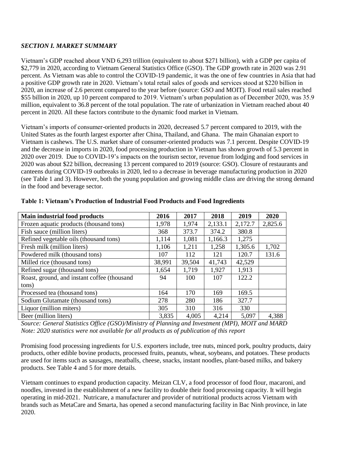#### *SECTION I. MARKET SUMMARY*

Vietnam's GDP reached about VND 6,293 trillion (equivalent to about \$271 billion), with a GDP per capita of \$2,779 in 2020, according to Vietnam General Statistics Office (GSO). The GDP growth rate in 2020 was 2.91 percent. As Vietnam was able to control the COVID-19 pandemic, it was the one of few countries in Asia that had a positive GDP growth rate in 2020. Vietnam's total retail sales of goods and services stood at \$220 billion in 2020, an increase of 2.6 percent compared to the year before (source: GSO and MOIT). Food retail sales reached \$55 billion in 2020, up 10 percent compared to 2019. Vietnam's urban population as of December 2020, was 35.9 million, equivalent to 36.8 percent of the total population. The rate of urbanization in Vietnam reached about 40 percent in 2020. All these factors contribute to the dynamic food market in Vietnam.

Vietnam's imports of consumer-oriented products in 2020, decreased 5.7 percent compared to 2019, with the United States as the fourth largest exporter after China, Thailand, and Ghana. The main Ghanaian export to Vietnam is cashews. The U.S. market share of consumer-oriented products was 7.1 percent. Despite COVID-19 and the decrease in imports in 2020, food processing production in Vietnam has shown growth of 5.3 percent in 2020 over 2019. Due to COVID-19's impacts on the tourism sector, revenue from lodging and food services in 2020 was about \$22 billion, decreasing 13 percent compared to 2019 (source: GSO). Closure of restaurants and canteens during COVID-19 outbreaks in 2020, led to a decrease in beverage manufacturing production in 2020 (see Table 1 and 3). However, both the young population and growing middle class are driving the strong demand in the food and beverage sector.

| Main industrial food products               | 2016   | 2017   | 2018    | 2019    | 2020    |
|---------------------------------------------|--------|--------|---------|---------|---------|
| Frozen aquatic products (thousand tons)     | 1,978  | 1,974  | 2,133.1 | 2,172.7 | 2,825.6 |
| Fish sauce (million liters)                 | 368    | 373.7  | 374.2   | 380.8   |         |
| Refined vegetable oils (thousand tons)      | 1,114  | 1,081  | 1,166.3 | 1,275   |         |
| Fresh milk (million liters)                 | 1,106  | 1,211  | 1,258   | 1,305.6 | 1,702   |
| Powdered milk (thousand tons)               | 107    | 112    | 121     | 120.7   | 131.6   |
| Milled rice (thousand tons)                 | 38,991 | 39,504 | 41,743  | 42,529  |         |
| Refined sugar (thousand tons)               | 1,654  | 1,719  | 1,927   | 1,913   |         |
| Roast, ground, and instant coffee (thousand | 94     | 100    | 107     | 122.2   |         |
| tons)                                       |        |        |         |         |         |
| Processed tea (thousand tons)               | 164    | 170    | 169     | 169.5   |         |
| Sodium Glutamate (thousand tons)            | 278    | 280    | 186     | 327.7   |         |
| Liquor (million miters)                     | 305    | 310    | 316     | 330     |         |
| Beer (million liters)                       | 3,835  | 4,005  | 4,214   | 5,097   | 4,388   |

**Table 1: Vietnam's Production of Industrial Food Products and Food Ingredients**

*Source: General Statistics Office (GSO)/Ministry of Planning and Investment (MPI), MOIT and MARD Note: 2020 statistics were not available for all products as of publication of this report*

Promising food processing ingredients for U.S. exporters include, tree nuts, minced pork, poultry products, dairy products, other edible bovine products, processed fruits, peanuts, wheat, soybeans, and potatoes. These products are used for items such as sausages, meatballs, cheese, snacks, instant noodles, plant-based milks, and bakery products. See Table 4 and 5 for more details.

Vietnam continues to expand production capacity. Meizan CLV, a food processor of food flour, macaroni, and noodles, invested in the establishment of a new facility to double their food processing capacity. It will begin operating in mid-2021. Nutricare, a manufacturer and provider of nutritional products across Vietnam with brands such as MetaCare and Smarta, has opened a second manufacturing facility in Bac Ninh province, in late 2020.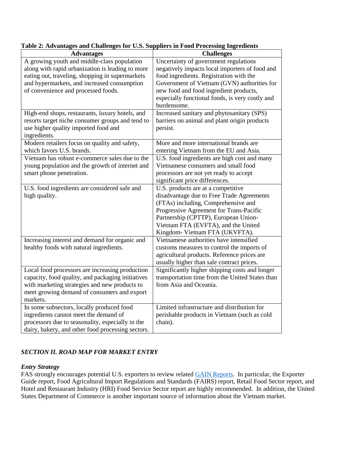| <b>Advantages</b>                                                                                        | <b>Challenges</b>                                                                                        |
|----------------------------------------------------------------------------------------------------------|----------------------------------------------------------------------------------------------------------|
| A growing youth and middle-class population<br>along with rapid urbanization is leading to more          | Uncertainty of government regulations<br>negatively impacts local importers of food and                  |
| eating out, traveling, shopping in supermarkets<br>and hypermarkets, and increased consumption           | food ingredients. Registration with the<br>Government of Vietnam (GVN) authorities for                   |
| of convenience and processed foods.                                                                      | new food and food ingredient products,<br>especially functional foods, is very costly and<br>burdensome. |
| High-end shops, restaurants, luxury hotels, and                                                          | Increased sanitary and phytosanitary (SPS)                                                               |
| resorts target niche consumer groups and tend to<br>use higher quality imported food and<br>ingredients. | barriers on animal and plant origin products<br>persist.                                                 |
| Modern retailers focus on quality and safety,<br>which favors U.S. brands.                               | More and more international brands are<br>entering Vietnam from the EU and Asia.                         |
| Vietnam has robust e-commerce sales due to the                                                           | U.S. food ingredients are high cost and many                                                             |
| young population and the growth of internet and                                                          | Vietnamese consumers and small food                                                                      |
| smart phone penetration.                                                                                 | processors are not yet ready to accept                                                                   |
|                                                                                                          | significant price differences.                                                                           |
| U.S. food ingredients are considered safe and                                                            | U.S. products are at a competitive                                                                       |
| high quality.                                                                                            | disadvantage due to Free Trade Agreements                                                                |
|                                                                                                          | (FTAs) including, Comprehensive and                                                                      |
|                                                                                                          | Progressive Agreement for Trans-Pacific                                                                  |
|                                                                                                          | Partnership (CPTTP), European Union-                                                                     |
|                                                                                                          | Vietnam FTA (EVFTA), and the United<br>Kingdom- Vietnam FTA (UKVFTA).                                    |
| Increasing interest and demand for organic and                                                           | Vietnamese authorities have intensified                                                                  |
| healthy foods with natural ingredients.                                                                  | customs measures to control the imports of                                                               |
|                                                                                                          | agricultural products. Reference prices are                                                              |
|                                                                                                          | usually higher than sale contract prices.                                                                |
| Local food processors are increasing production                                                          | Significantly higher shipping costs and longer                                                           |
| capacity, food quality, and packaging initiatives                                                        | transportation time from the United States than                                                          |
| with marketing strategies and new products to                                                            | from Asia and Oceania.                                                                                   |
| meet growing demand of consumers and export                                                              |                                                                                                          |
| markets.                                                                                                 |                                                                                                          |
| In some subsectors, locally produced food                                                                | Limited infrastructure and distribution for                                                              |
| ingredients cannot meet the demand of                                                                    | perishable products in Vietnam (such as cold                                                             |
| processors due to seasonality, especially in the                                                         | chain).                                                                                                  |
| dairy, bakery, and other food processing sectors.                                                        |                                                                                                          |

## **Table 2: Advantages and Challenges for U.S. Suppliers in Food Processing Ingredients**

## *SECTION II. ROAD MAP FOR MARKET ENTRY*

## *Entry Strategy*

FAS strongly encourages potential U.S. exporters to review related [GAIN Reports.](https://gain.fas.usda.gov/Lists/Advanced%20Search/AllItems.aspx) In particular, the Exporter Guide report, Food Agricultural Import Regulations and Standards (FAIRS) report, Retail Food Sector report, and Hotel and Restaurant Industry (HRI) Food Service Sector report are highly recommended. In addition, the United States Department of Commerce is another important source of information about the Vietnam market.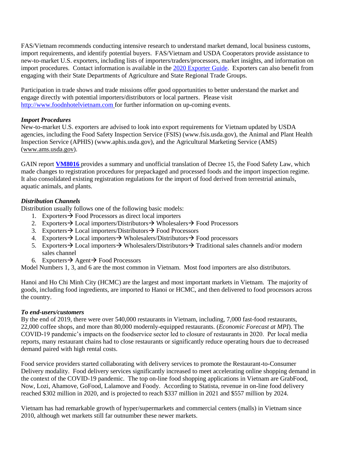FAS/Vietnam recommends conducting intensive research to understand market demand, local business customs, import requirements, and identify potential buyers. FAS/Vietnam and USDA Cooperators provide assistance to new-to-market U.S. exporters, including lists of importers/traders/processors, market insights, and information on import procedures. Contact information is available in the [2020 Exporter Guide.](https://www.fas.usda.gov/data/vietnam-exporter-guide-1) Exporters can also benefit from engaging with their State Departments of Agriculture and State Regional Trade Groups.

Participation in trade shows and trade missions offer good opportunities to better understand the market and engage directly with potential importers/distributors or local partners. Please visit [http://www.foodnhotelvietnam.com](http://www.foodnhotelvietnam.com/) for further information on up-coming events.

## *Import Procedures*

New-to-market U.S. exporters are advised to look into export requirements for Vietnam updated by USDA agencies, including the Food Safety Inspection Service (FSIS) [\(www.fsis.usda.gov\)](http://www.fsis.usda.gov/), the Animal and Plant Health Inspection Service (APHIS) (www.aphis.usda.gov), and the Agricultural Marketing Service (AMS) [\(www.ams.usda.gov\)](http://www.ams.usda.gov/).

GAIN report **[VM8016](https://www.fas.usda.gov/data/vietnam-gvn-reformed-decree-guiding-law-food-safety)** provides a summary and unofficial translation of Decree 15, the Food Safety Law, which made changes to registration procedures for prepackaged and processed foods and the import inspection regime. It also consolidated existing registration regulations for the import of food derived from terrestrial animals, aquatic animals, and plants.

## *Distribution Channels*

Distribution usually follows one of the following basic models:

- 1. Exporters  $\rightarrow$  Food Processors as direct local importers
- 2. Exporters  $\rightarrow$  Local importers/Distributors  $\rightarrow$  Wholesalers  $\rightarrow$  Food Processors
- 3. Exporters  $\rightarrow$  Local importers/Distributors  $\rightarrow$  Food Processors
- 4. Exporters  $\rightarrow$  Local importers  $\rightarrow$  Wholesalers/Distributors  $\rightarrow$  Food processors
- 5. Exporters  $\rightarrow$  Local importers  $\rightarrow$  Wholesalers/Distributors  $\rightarrow$  Traditional sales channels and/or modern sales channel
- 6. Exporters  $\rightarrow$  Agent  $\rightarrow$  Food Processors

Model Numbers 1, 3, and 6 are the most common in Vietnam. Most food importers are also distributors.

Hanoi and Ho Chi Minh City (HCMC) are the largest and most important markets in Vietnam. The majority of goods, including food ingredients, are imported to Hanoi or HCMC, and then delivered to food processors across the country.

## *To end-users/customers*

By the end of 2019, there were over 540,000 restaurants in Vietnam, including, 7,000 fast-food restaurants, 22,000 coffee shops, and more than 80,000 modernly-equipped restaurants. (*Economic Forecast at MPI*). The COVID-19 pandemic's impacts on the foodservice sector led to closure of restaurants in 2020. Per local media reports, many restaurant chains had to close restaurants or significantly reduce operating hours due to decreased demand paired with high rental costs.

Food service providers started collaborating with delivery services to promote the Restaurant-to-Consumer Delivery modality. Food delivery services significantly increased to meet accelerating online shopping demand in the context of the COVID-19 pandemic. The top on-line food shopping applications in Vietnam are GrabFood, Now, Lozi, Ahamove, GoFood, Lalamove and Foody. According to Statista, revenue in on-line food delivery reached \$302 million in 2020, and is projected to reach \$337 million in 2021 and \$557 million by 2024.

Vietnam has had remarkable growth of hyper/supermarkets and commercial centers (malls) in Vietnam since 2010, although wet markets still far outnumber these newer markets.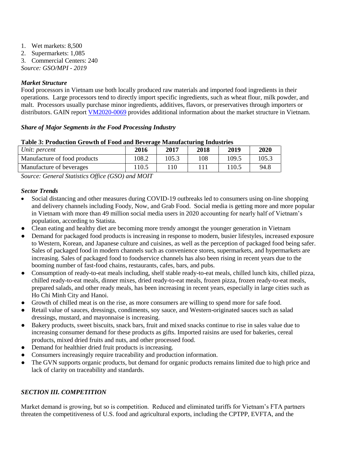- 1. Wet markets: 8,500 2. Supermarkets: 1,085
- 3. Commercial Centers: 240

*Source: GSO/MPI - 2019*

## *Market Structure*

Food processors in Vietnam use both locally produced raw materials and imported food ingredients in their operations. Large processors tend to directly import specific ingredients, such as wheat flour, milk powder, and malt. Processors usually purchase minor ingredients, additives, flavors, or preservatives through importers or distributors. GAIN report [VM2020-0069](https://www.fas.usda.gov/data/vietnam-retail-foods-5) provides additional information about the market structure in Vietnam.

## *Share of Major Segments in the Food Processing Industry*

| Unit: percent                | 2016   | 2017  | 2018 | 2019  | 2020  |
|------------------------------|--------|-------|------|-------|-------|
| Manufacture of food products | 108.2  | 105.3 | 108  | 109.5 | 105.3 |
| Manufacture of beverages     | ! 10.5 |       |      | 110.5 | 94.8  |
|                              |        |       |      |       |       |

#### **Table 3: Production Growth of Food and Beverage Manufacturing Industries**

*Source: General Statistics Office (GSO) and MOIT*

## *Sector Trends*

- Social distancing and other measures during COVID-19 outbreaks led to consumers using on-line shopping and delivery channels including Foody, Now, and Grab Food. Social media is getting more and more popular in Vietnam with more than 49 million social media users in 2020 accounting for nearly half of Vietnam's population, according to Statista.
- Clean eating and healthy diet are becoming more trendy amongst the younger generation in Vietnam
- Demand for packaged food products is increasing in response to modern, busier lifestyles, increased exposure to Western, Korean, and Japanese culture and cuisines, as well as the perception of packaged food being safer. Sales of packaged food in modern channels such as convenience stores, supermarkets, and hypermarkets are increasing. Sales of packaged food to foodservice channels has also been rising in recent years due to the booming number of fast-food chains, restaurants, cafes, bars, and pubs.
- Consumption of ready-to-eat meals including, shelf stable ready-to-eat meals, chilled lunch kits, chilled pizza, chilled ready-to-eat meals, dinner mixes, dried ready-to-eat meals, frozen pizza, frozen ready-to-eat meals, prepared salads, and other ready meals, has been increasing in recent years, especially in large cities such as Ho Chi Minh City and Hanoi.
- Growth of chilled meat is on the rise, as more consumers are willing to spend more for safe food.
- Retail value of sauces, dressings, condiments, soy sauce, and Western-originated sauces such as salad dressings, mustard, and mayonnaise is increasing.
- Bakery products, sweet biscuits, snack bars, fruit and mixed snacks continue to rise in sales value due to increasing consumer demand for these products as gifts. Imported raisins are used for bakeries, cereal products, mixed dried fruits and nuts, and other processed food.
- Demand for healthier dried fruit products is increasing.
- Consumers increasingly require traceability and production information.
- The GVN supports organic products, but demand for organic products remains limited due to high price and lack of clarity on traceability and standards.

## *SECTION III. COMPETITION*

Market demand is growing, but so is competition. Reduced and eliminated tariffs for Vietnam's FTA partners threaten the competitiveness of U.S. food and agricultural exports, including the CPTPP, EVFTA, and the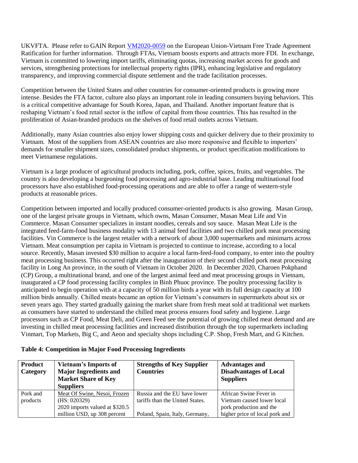UKVFTA. Please refer to GAIN Report [VM2020-0059](https://www.fas.usda.gov/data/vietnam-european-union-vietnam-free-trade-agreement-ratified) on the European Union-Vietnam Free Trade Agreement Ratification for further information. Through FTAs, Vietnam boosts exports and attracts more FDI. In exchange, Vietnam is committed to lowering import tariffs, eliminating quotas, increasing market access for goods and services, strengthening protections for intellectual property rights (IPR), enhancing legislative and regulatory transparency, and improving commercial dispute settlement and the trade facilitation processes.

Competition between the United States and other countries for consumer-oriented products is growing more intense. Besides the FTA factor, culture also plays an important role in leading consumers buying behaviors. This is a critical competitive advantage for South Korea, Japan, and Thailand. Another important feature that is reshaping Vietnam's food retail sector is the inflow of capital from those countries. This has resulted in the proliferation of Asian-branded products on the shelves of food retail outlets across Vietnam.

Additionally, many Asian countries also enjoy lower shipping costs and quicker delivery due to their proximity to Vietnam. Most of the suppliers from ASEAN countries are also more responsive and flexible to importers' demands for smaller shipment sizes, consolidated product shipments, or product specification modifications to meet Vietnamese regulations.

Vietnam is a large producer of agricultural products including, pork, coffee, spices, fruits, and vegetables. The country is also developing a burgeoning food processing and agro-industrial base. Leading multinational food processors have also established food-processing operations and are able to offer a range of western-style products at reasonable prices.

Competition between imported and locally produced consumer-oriented products is also growing. Masan Group, one of the largest private groups in Vietnam, which owns, Masan Consumer, Masan Meat Life and Vin Commerce. Masan Consumer specializes in instant noodles, cereals and soy sauce. Masan Meat Life is the integrated feed-farm-food business modality with 13 animal feed facilities and two chilled pork meat processing facilities. Vin Commerce is the largest retailer with a network of about 3,000 supermarkets and minimarts across Vietnam. Meat consumption per capita in Vietnam is projected to continue to increase, according to a local source. Recently, Masan invested \$30 million to acquire a local farm-feed-food company, to enter into the poultry meat processing business. This occurred right after the inauguration of their second chilled pork meat processing facility in Long An province, in the south of Vietnam in October 2020. In December 2020, Charoen Pokphand (CP) Group, a multinational brand, and one of the largest animal feed and meat processing groups in Vietnam, inaugurated a CP food processing facility complex in Binh Phuoc province. The poultry processing facility is anticipated to begin operation with at a capacity of 50 million birds a year with its full design capacity at 100 million birds annually. Chilled meats became an option for Vietnam's consumers in supermarkets about six or seven years ago. They started gradually gaining the market share from fresh meat sold at traditional wet markets as consumers have started to understand the chilled meat process ensures food safety and hygiene. Large processors such as CP Food, Meat Deli, and Green Feed see the potential of growing chilled meat demand and are investing in chilled meat processing facilities and increased distribution through the top supermarkets including Vinmart, Top Markets, Big C, and Aeon and specialty shops including C.P. Shop, Fresh Mart, and G Kitchen.

| Product<br>Category | <b>Vietnam's Imports of</b><br><b>Major Ingredients and</b><br><b>Market Share of Key</b><br><b>Suppliers</b> | <b>Strengths of Key Supplier</b><br><b>Countries</b> | <b>Advantages and</b><br><b>Disadvantages of Local</b><br><b>Suppliers</b> |
|---------------------|---------------------------------------------------------------------------------------------------------------|------------------------------------------------------|----------------------------------------------------------------------------|
| Pork and            | Meat Of Swine, Nesoi, Frozen                                                                                  | Russia and the EU have lower                         | African Swine Fever in                                                     |
| products            | (HS: 020329)                                                                                                  | tariffs than the United States.                      | Vietnam caused lower local                                                 |
|                     | 2020 imports valued at \$320.5                                                                                |                                                      | pork production and the                                                    |
|                     | million USD, up 308 percent                                                                                   | Poland, Spain, Italy, Germany,                       | higher price of local pork and                                             |

#### **Table 4: Competition in Major Food Processing Ingredients**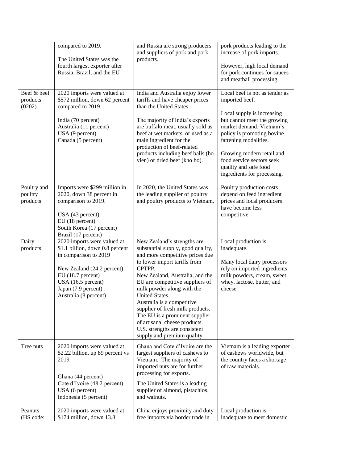|                                    | compared to 2019.                                                                                                                                                                                                | and Russia are strong producers<br>and suppliers of pork and pork                                                                                                                                                                                                                                                                                                                                                                                                        | pork products leading to the<br>increase of pork imports.                                                                                                                |
|------------------------------------|------------------------------------------------------------------------------------------------------------------------------------------------------------------------------------------------------------------|--------------------------------------------------------------------------------------------------------------------------------------------------------------------------------------------------------------------------------------------------------------------------------------------------------------------------------------------------------------------------------------------------------------------------------------------------------------------------|--------------------------------------------------------------------------------------------------------------------------------------------------------------------------|
|                                    | The United States was the<br>fourth largest exporter after<br>Russia, Brazil, and the EU                                                                                                                         | products.                                                                                                                                                                                                                                                                                                                                                                                                                                                                | However, high local demand<br>for pork continues for sauces<br>and meatball processing.                                                                                  |
| Beef & beef<br>products<br>(0202)  | 2020 imports were valued at<br>\$572 million, down 62 percent<br>compared to 2019.                                                                                                                               | India and Australia enjoy lower<br>tariffs and have cheaper prices<br>than the United States.                                                                                                                                                                                                                                                                                                                                                                            | Local beef is not as tender as<br>imported beef.                                                                                                                         |
|                                    | India (70 percent)<br>Australia (11 percent)<br>USA (9 percent)<br>Canada (5 percent)                                                                                                                            | The majority of India's exports<br>are buffalo meat, usually sold as<br>beef at wet markets, or used as a<br>main ingredient for the<br>production of beef-related                                                                                                                                                                                                                                                                                                       | Local supply is increasing<br>but cannot meet the growing<br>market demand. Vietnam's<br>policy is promoting bovine<br>fattening modalities.                             |
|                                    |                                                                                                                                                                                                                  | products including beef balls (bo<br>vien) or dried beef (kho bo).                                                                                                                                                                                                                                                                                                                                                                                                       | Growing modern retail and<br>food service sectors seek<br>quality and safe food<br>ingredients for processing.                                                           |
| Poultry and<br>poultry<br>products | Imports were \$299 million in<br>2020, down 38 percent in<br>comparison to 2019.<br>USA (43 percent)<br>EU (18 percent)<br>South Korea (17 percent)<br>Brazil (17 percent)                                       | In 2020, the United States was<br>the leading supplier of poultry<br>and poultry products to Vietnam.                                                                                                                                                                                                                                                                                                                                                                    | Poultry production costs<br>depend on feed ingredient<br>prices and local producers<br>have become less<br>competitive.                                                  |
| Dairy<br>products                  | 2020 imports were valued at<br>\$1.1 billion, down 0.8 percent<br>in comparison to 2019<br>New Zealand (24.2 percent)<br>EU (18.7 percent)<br>USA (16.5 percent)<br>Japan (7.9 percent)<br>Australia (8 percent) | New Zealand's strengths are<br>substantial supply, good quality,<br>and more competitive prices due<br>to lower import tariffs from<br>CPTPP.<br>New Zealand, Australia, and the<br>EU are competitive suppliers of<br>milk powder along with the<br>United States.<br>Australia is a competitive<br>supplier of fresh milk products.<br>The EU is a prominent supplier<br>of artisanal cheese products.<br>U.S. strengths are consistent<br>supply and premium quality. | Local production is<br>inadequate.<br>Many local dairy processors<br>rely on imported ingredients:<br>milk powders, cream, sweet<br>whey, lactose, butter, and<br>cheese |
| Tree nuts                          | 2020 imports were valued at<br>\$2.22 billion, up 89 percent vs<br>2019<br>Ghana (44 percent)<br>Cote d'Ivoire (48.2 percent)<br>USA (6 percent)<br>Indonesia (5 percent)                                        | Ghana and Cote d'Ivoire are the<br>largest suppliers of cashews to<br>Vietnam. The majority of<br>imported nuts are for further<br>processing for exports.<br>The United States is a leading<br>supplier of almond, pistachios,<br>and walnuts.                                                                                                                                                                                                                          | Vietnam is a leading exporter<br>of cashews worldwide, but<br>the country faces a shortage<br>of raw materials.                                                          |
| Peanuts<br>(HS code:               | 2020 imports were valued at<br>\$174 million, down 13.8                                                                                                                                                          | China enjoys proximity and duty<br>free imports via border trade in                                                                                                                                                                                                                                                                                                                                                                                                      | Local production is<br>inadequate to meet domestic                                                                                                                       |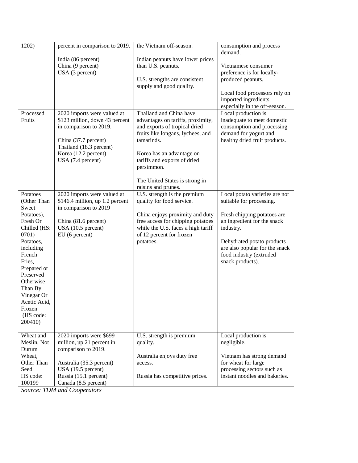| 1202)                                                                                                                                                                                                                                                 | percent in comparison to 2019.                                                                                                                                                          | the Vietnam off-season.                                                                                                                                                                                                                                                              | consumption and process<br>demand.                                                                                                                                                                                                                   |
|-------------------------------------------------------------------------------------------------------------------------------------------------------------------------------------------------------------------------------------------------------|-----------------------------------------------------------------------------------------------------------------------------------------------------------------------------------------|--------------------------------------------------------------------------------------------------------------------------------------------------------------------------------------------------------------------------------------------------------------------------------------|------------------------------------------------------------------------------------------------------------------------------------------------------------------------------------------------------------------------------------------------------|
|                                                                                                                                                                                                                                                       | India (86 percent)<br>China (9 percent)<br>USA (3 percent)                                                                                                                              | Indian peanuts have lower prices<br>than U.S. peanuts.<br>U.S. strengths are consistent<br>supply and good quality.                                                                                                                                                                  | Vietnamese consumer<br>preference is for locally-<br>produced peanuts.<br>Local food processors rely on<br>imported ingredients,                                                                                                                     |
| Processed<br>Fruits                                                                                                                                                                                                                                   | 2020 imports were valued at<br>\$123 million, down 43 percent<br>in comparison to 2019.<br>China (37.7 percent)<br>Thailand (18.3 percent)<br>Korea (12.2 percent)<br>USA (7.4 percent) | Thailand and China have<br>advantages on tariffs, proximity,<br>and exports of tropical dried<br>fruits like longans, lychees, and<br>tamarinds.<br>Korea has an advantage on<br>tariffs and exports of dried<br>persimmon.<br>The United States is strong in<br>raisins and prunes. | especially in the off-season.<br>Local production is<br>inadequate to meet domestic<br>consumption and processing<br>demand for yogurt and<br>healthy dried fruit products.                                                                          |
| Potatoes<br>(Other Than<br>Sweet<br>Potatoes),<br>Fresh Or<br>Chilled (HS:<br>0701)<br>Potatoes,<br>including<br>French<br>Fries,<br>Prepared or<br>Preserved<br>Otherwise<br>Than By<br>Vinegar Or<br>Acetic Acid,<br>Frozen<br>(HS code:<br>200410) | 2020 imports were valued at<br>\$146.4 million, up 1.2 percent<br>in comparison to 2019<br>China (81.6 percent)<br>USA (10.5 percent)<br>EU (6 percent)                                 | U.S. strength is the premium<br>quality for food service.<br>China enjoys proximity and duty<br>free access for chipping potatoes<br>while the U.S. faces a high tariff<br>of 12 percent for frozen<br>potatoes.                                                                     | Local potato varieties are not<br>suitable for processing.<br>Fresh chipping potatoes are<br>an ingredient for the snack<br>industry.<br>Dehydrated potato products<br>are also popular for the snack<br>food industry (extruded<br>snack products). |
| Wheat and<br>Meslin, Not<br>Durum<br>Wheat,<br>Other Than<br>Seed<br>HS code:<br>100199                                                                                                                                                               | 2020 imports were \$699<br>million, up 21 percent in<br>comparison to 2019.<br>Australia (35.3 percent)<br>USA (19.5 percent)<br>Russia (15.1 percent)<br>Canada (8.5 percent)          | U.S. strength is premium<br>quality.<br>Australia enjoys duty free<br>access.<br>Russia has competitive prices.                                                                                                                                                                      | Local production is<br>negligible.<br>Vietnam has strong demand<br>for wheat for large<br>processing sectors such as<br>instant noodles and bakeries.                                                                                                |

*Source: TDM and Cooperators*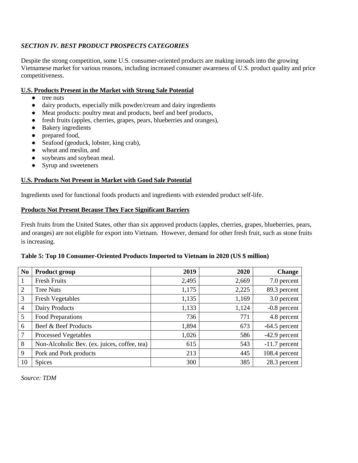## *SECTION IV. BEST PRODUCT PROSPECTS CATEGORIES*

Despite the strong competition, some U.S. consumer-oriented products are making inroads into the growing Vietnamese market for various reasons, including increased consumer awareness of U.S. product quality and price competitiveness.

### **U.S. Products Present in the Market with Strong Sale Potential**

- tree nuts
- dairy products, especially milk powder/cream and dairy ingredients
- Meat products: poultry meat and products, beef and beef products,
- fresh fruits (apples, cherries, grapes, pears, blueberries and oranges),
- Bakery ingredients
- prepared food,
- Seafood (geoduck, lobster, king crab),
- wheat and meslin, and
- soybeans and soybean meal.
- Syrup and sweeteners

## **U.S. Products Not Present in Market with Good Sale Potential**

Ingredients used for functional foods products and ingredients with extended product self-life.

#### **Products Not Present Because They Face Significant Barriers**

Fresh fruits from the United States, other than six approved products (apples, cherries, grapes, blueberries, pears, and oranges) are not eligible for export into Vietnam. However, demand for other fresh fruit, such as stone fruits is increasing.

#### **Table 5: Top 10 Consumer-Oriented Products Imported to Vietnam in 2020 (US \$ million)**

| N <sub>0</sub>  | <b>Product group</b>                         | 2019  | 2020  | <b>Change</b>   |
|-----------------|----------------------------------------------|-------|-------|-----------------|
| $\mathbf{1}$    | <b>Fresh Fruits</b>                          | 2,495 | 2,669 | 7.0 percent     |
| $\overline{2}$  | <b>Tree Nuts</b>                             | 1,175 | 2,225 | 89.3 percent    |
| 3               | <b>Fresh Vegetables</b>                      | 1,135 | 1,169 | 3.0 percent     |
| $\overline{4}$  | Dairy Products                               | 1,133 | 1,124 | $-0.8$ percent  |
| 5               | <b>Food Preparations</b>                     | 736   | 771   | 4.8 percent     |
| 6               | Beef & Beef Products                         | 1,894 | 673   | $-64.5$ percent |
| $7\phantom{.0}$ | <b>Processed Vegetables</b>                  | 1,026 | 586   | $-42.9$ percent |
| 8               | Non-Alcoholic Bev. (ex. juices, coffee, tea) | 615   | 543   | $-11.7$ percent |
| 9               | Pork and Pork products                       | 213   | 445   | 108.4 percent   |
| 10              | <b>Spices</b>                                | 300   | 385   | 28.3 percent    |

*Source: TDM*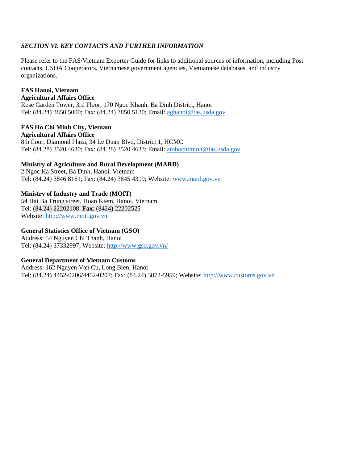## *SECTION VI. KEY CONTACTS AND FURTHER INFORMATION*

Please refer to the FAS/Vietnam Exporter Guide [f](https://www.fas.usda.gov/data/vietnam-exporter-guide-2)or links to additional sources of information, including Post contacts, USDA Cooperators, Vietnamese government agencies, Vietnamese databases, and industry organizations.

#### **FAS Hanoi, Vietnam Agricultural Affairs Office**

Rose Garden Tower, 3rd Floor, 170 Ngoc Khanh, Ba Dinh District, Hanoi Tel: (84.24) 3850 5000; Fax: (84.24) 3850 5130; Email: [aghanoi@fas.usda.gov](mailto:aghanoi@fas.usda.gov) 

#### **FAS Ho Chi Minh City, Vietnam Agricultural Affairs Office**

8th floor, Diamond Plaza, 34 Le Duan Blvd, District 1, HCMC Tel: (84.28) 3520 4630; Fax: (84.28) 3520 4633; Email: [atohochiminh@fas.usda.gov](mailto:atohochiminh@fas.usda.gov) 

## **Ministry of Agriculture and Rural Development (MARD)**

2 Ngoc Ha Street, Ba Dinh, Hanoi, Vietnam Tel: (84.24) 3846 8161; Fax: (84.24) 3845 4319; Website: [www.mard.gov.vn](http://www.mard.gov.vn/)

### **Ministry of Industry and Trade (MOIT)**

54 Hai Ba Trung street, Hoan Kiem, Hanoi, Vietnam Tel: [\(84.24\) 22202108](about:blank) **Fax**: [\(8424\) 22202525](about:blank) Website: [http://www.moit.gov.vn](http://www.moit.gov.vn/)

#### **General Statistics Office of Vietnam (GSO)**

Address: 54 Nguyen Chi Thanh, Hanoi Tel: (84.24) 37332997; Website:<http://www.gso.gov.vn/>

#### **General Department of Vietnam Customs**

Address: 162 Nguyen Van Cu, Long Bien, Hanoi Tel: (84.24) 4452-0206/4452-0207; Fax: (84.24) 3872-5959; Website: [http://www.customs.gov.vn](http://www.customs.gov.vn/)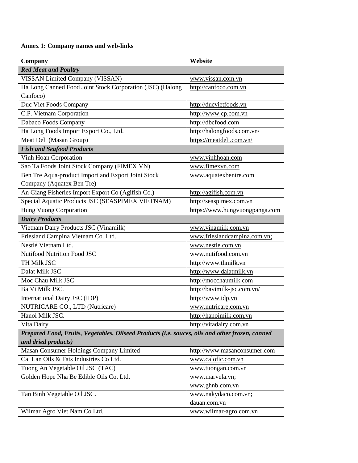## **Annex 1: Company names and web-links**

| Company                                                                                         | Website                        |
|-------------------------------------------------------------------------------------------------|--------------------------------|
| <b>Red Meat and Poultry</b>                                                                     |                                |
| VISSAN Limited Company (VISSAN)                                                                 | www.vissan.com.vn              |
| Ha Long Canned Food Joint Stock Corporation (JSC) (Halong                                       | http://canfoco.com.vn          |
| Canfoco)                                                                                        |                                |
| Duc Viet Foods Company                                                                          | http://ducvietfoods.vn         |
| C.P. Vietnam Corporation                                                                        | http://www.cp.com.vn           |
| Dabaco Foods Company                                                                            | http://dbcfood.com             |
| Ha Long Foods Import Export Co., Ltd.                                                           | http://halongfoods.com.vn/     |
| Meat Deli (Masan Group)                                                                         | https://meatdeli.com.vn/       |
| <b>Fish and Seafood Products</b>                                                                |                                |
| Vinh Hoan Corporation                                                                           | www.vinhhoan.com               |
| Sao Ta Foods Joint Stock Company (FIMEX VN)                                                     | www.fimexvn.com                |
| Ben Tre Aqua-product Import and Export Joint Stock                                              | www.aquatexbentre.com          |
| Company (Aquatex Ben Tre)                                                                       |                                |
| An Giang Fisheries Import Export Co (Agifish Co.)                                               | http://agifish.com.vn          |
| Special Aquatic Products JSC (SEASPIMEX VIETNAM)                                                | http://seaspimex.com.vn        |
| Hung Vuong Corporation                                                                          | https://www.hungvuongpanga.com |
| <b>Dairy Products</b>                                                                           |                                |
| Vietnam Dairy Products JSC (Vinamilk)                                                           | www.vinamilk.com.vn            |
| Friesland Campina Vietnam Co. Ltd.                                                              | www.frieslandcampina.com.vn;   |
| Nestlé Vietnam Ltd.                                                                             | www.nestle.com.vn              |
| Nutifood Nutrition Food JSC                                                                     | www.nutifood.com.vn            |
| TH Milk JSC                                                                                     | http://www.thmilk.vn           |
| Dalat Milk JSC                                                                                  | http://www.dalatmilk.vn        |
| Moc Chau Milk JSC                                                                               | http://mocchaumilk.com         |
| Ba Vi Milk JSC.                                                                                 | http://bavimilk-jsc.com.vn/    |
| International Dairy JSC (IDP)                                                                   | http://www.idp.vn              |
| NUTRICARE CO., LTD (Nutricare)                                                                  | www.nutricare.com.vn           |
| Hanoi Milk JSC.                                                                                 | http://hanoimilk.com.vn        |
| Vita Dairy                                                                                      | http://vitadairy.com.vn        |
| Prepared Food, Fruits, Vegetables, Oilseed Products (i.e. sauces, oils and other frozen, canned |                                |
| and dried products)                                                                             |                                |
| Masan Consumer Holdings Company Limited                                                         | http://www.masanconsumer.com   |
| Cai Lan Oils & Fats Industries Co Ltd.                                                          | www.calofic.com.vn             |
| Tuong An Vegetable Oil JSC (TAC)                                                                | www.tuongan.com.vn             |
| Golden Hope Nha Be Edible Oils Co. Ltd.                                                         | www.marvela.vn;                |
|                                                                                                 | www.ghnb.com.vn                |
| Tan Binh Vegetable Oil JSC.                                                                     | www.nakydaco.com.vn;           |
|                                                                                                 | dauan.com.vn                   |
| Wilmar Agro Viet Nam Co Ltd.                                                                    | www.wilmar-agro.com.vn         |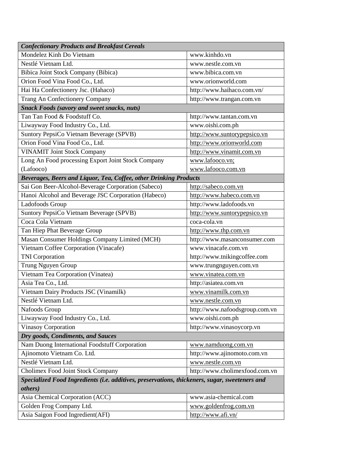| <b>Confectionary Products and Breakfast Cereals</b>                                            |                                |  |  |
|------------------------------------------------------------------------------------------------|--------------------------------|--|--|
| Mondelez Kinh Do Vietnam                                                                       | www.kinhdo.vn                  |  |  |
| Nestlé Vietnam Ltd.                                                                            | www.nestle.com.vn              |  |  |
| Bibica Joint Stock Company (Bibica)                                                            | www.bibica.com.vn              |  |  |
| Orion Food Vina Food Co., Ltd.                                                                 | www.orionworld.com             |  |  |
| Hai Ha Confectionery Jsc. (Hahaco)                                                             | http://www.haihaco.com.vn/     |  |  |
| Trang An Confectionery Company                                                                 | http://www.trangan.com.vn      |  |  |
| <b>Snack Foods (savory and sweet snacks, nuts)</b>                                             |                                |  |  |
| Tan Tan Food & Foodstuff Co.                                                                   | http://www.tantan.com.vn       |  |  |
| Liwayway Food Industry Co., Ltd.                                                               | www.oishi.com.ph               |  |  |
| Suntory PepsiCo Vietnam Beverage (SPVB)                                                        | http://www.suntorypepsico.vn   |  |  |
| Orion Food Vina Food Co., Ltd.                                                                 | http://www.orionworld.com      |  |  |
| <b>VINAMIT Joint Stock Company</b>                                                             | http://www.vinamit.com.vn      |  |  |
| Long An Food processing Export Joint Stock Company                                             | www.lafooco.vn;                |  |  |
| (Lafooco)                                                                                      | www.lafooco.com.vn             |  |  |
| Beverages, Beers and Liquor, Tea, Coffee, other Drinking Products                              |                                |  |  |
| Sai Gon Beer-Alcohol-Beverage Corporation (Sabeco)                                             | http://sabeco.com.vn           |  |  |
| Hanoi Alcohol and Beverage JSC Corporation (Habeco)                                            | http://www.habeco.com.vn       |  |  |
| Ladofoods Group                                                                                | http://www.ladofoods.vn        |  |  |
| Suntory PepsiCo Vietnam Beverage (SPVB)                                                        | http://www.suntorypepsico.vn   |  |  |
| Coca Cola Vietnam                                                                              | coca-cola.vn                   |  |  |
| Tan Hiep Phat Beverage Group                                                                   | http://www.thp.com.vn          |  |  |
| Masan Consumer Holdings Company Limited (MCH)                                                  | http://www.masanconsumer.com   |  |  |
| Vietnam Coffee Corporation (Vinacafe)                                                          | www.vinacafe.com.vn            |  |  |
| <b>TNI</b> Corporation                                                                         | http://www.tnikingcoffee.com   |  |  |
| Trung Nguyen Group                                                                             | www.trungnguyen.com.vn         |  |  |
| Vietnam Tea Corporation (Vinatea)                                                              | www.vinatea.com.vn             |  |  |
| Asia Tea Co., Ltd.                                                                             | http://asiatea.com.vn          |  |  |
| Vietnam Dairy Products JSC (Vinamilk)                                                          | www.vinamilk.com.vn            |  |  |
| Nestlé Vietnam Ltd.                                                                            | www.nestle.com.vn              |  |  |
| Nafoods Group                                                                                  | http://www.nafoodsgroup.com.vn |  |  |
| Liwayway Food Industry Co., Ltd.                                                               | www.oishi.com.ph               |  |  |
| Vinasoy Corporation                                                                            | http://www.vinasoycorp.vn      |  |  |
| Dry goods, Condiments, and Sauces                                                              |                                |  |  |
| Nam Duong International Foodstuff Corporation                                                  | www.namduong.com.vn            |  |  |
| Ajinomoto Vietnam Co. Ltd.                                                                     | http://www.ajinomoto.com.vn    |  |  |
| Nestlé Vietnam Ltd.                                                                            | www.nestle.com.vn              |  |  |
| Cholimex Food Joint Stock Company                                                              | http://www.cholimexfood.com.vn |  |  |
| Specialized Food Ingredients (i.e. additives, preservations, thickeners, sugar, sweeteners and |                                |  |  |
| <i>others</i> )                                                                                |                                |  |  |
| Asia Chemical Corporation (ACC)                                                                | www.asia-chemical.com          |  |  |
| Golden Frog Company Ltd.                                                                       | www.goldenfrog.com.vn          |  |  |
| Asia Saigon Food Ingredient(AFI)                                                               | http://www.afi.vn/             |  |  |